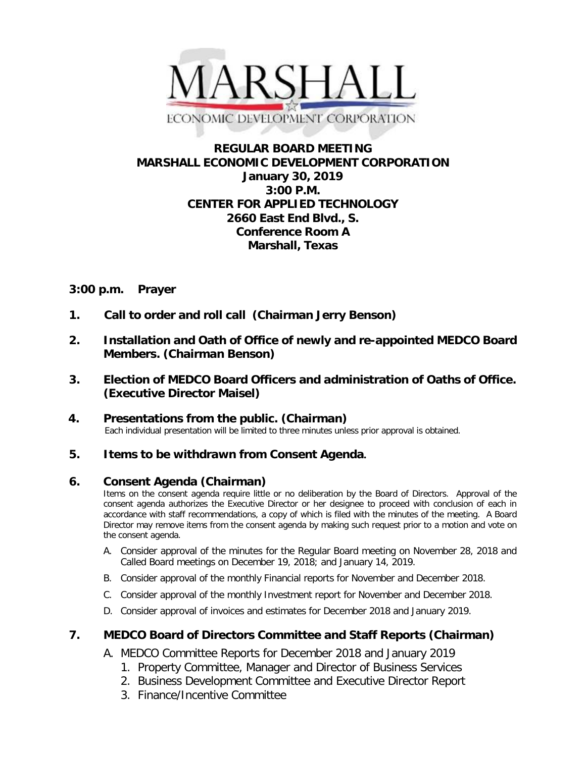

# **REGULAR BOARD MEETING MARSHALL ECONOMIC DEVELOPMENT CORPORATION January 30, 2019 3:00 P.M. CENTER FOR APPLIED TECHNOLOGY 2660 East End Blvd., S. Conference Room A Marshall, Texas**

## **3:00 p.m. Prayer**

- **1. Call to order and roll call (Chairman Jerry Benson)**
- **2. Installation and Oath of Office of newly and re-appointed MEDCO Board Members. (Chairman Benson)**
- **3. Election of MEDCO Board Officers and administration of Oaths of Office. (Executive Director Maisel)**
- **4. Presentations from the public. (Chairman)**<br>Each individual presentation will be limited to three minutes unless prior approval is obtained.

# **5. Items to be withdrawn from Consent Agenda.**

### **6. Consent Agenda (Chairman)**

Items on the consent agenda require little or no deliberation by the Board of Directors. Approval of the consent agenda authorizes the Executive Director or her designee to proceed with conclusion of each in accordance with staff recommendations, a copy of which is filed with the minutes of the meeting. A Board Director may remove items from the consent agenda by making such request prior to a motion and vote on the consent agenda.

- A. Consider approval of the minutes for the Regular Board meeting on November 28, 2018 and Called Board meetings on December 19, 2018; and January 14, 2019.
- B. Consider approval of the monthly Financial reports for November and December 2018.
- C. Consider approval of the monthly Investment report for November and December 2018.
- D. Consider approval of invoices and estimates for December 2018 and January 2019.

### **7. MEDCO Board of Directors Committee and Staff Reports (Chairman)**

A. MEDCO Committee Reports for December 2018 and January 2019

- 1. Property Committee, Manager and Director of Business Services
- 2. Business Development Committee and Executive Director Report
- 3. Finance/Incentive Committee